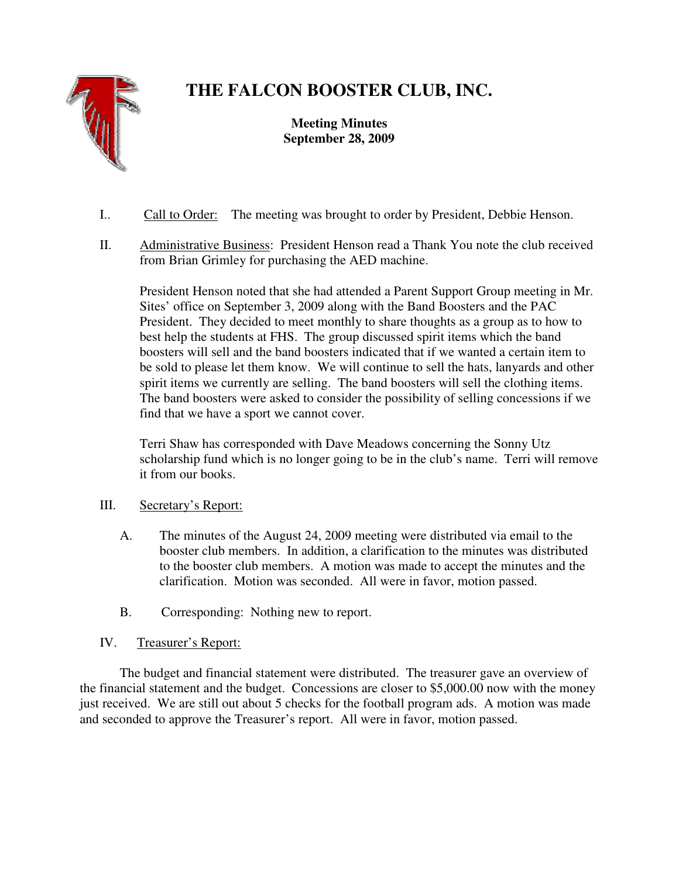

# **THE FALCON BOOSTER CLUB, INC.**

**Meeting Minutes September 28, 2009** 

- I.. Call to Order: The meeting was brought to order by President, Debbie Henson.
- II. Administrative Business: President Henson read a Thank You note the club received from Brian Grimley for purchasing the AED machine.

President Henson noted that she had attended a Parent Support Group meeting in Mr. Sites' office on September 3, 2009 along with the Band Boosters and the PAC President. They decided to meet monthly to share thoughts as a group as to how to best help the students at FHS. The group discussed spirit items which the band boosters will sell and the band boosters indicated that if we wanted a certain item to be sold to please let them know. We will continue to sell the hats, lanyards and other spirit items we currently are selling. The band boosters will sell the clothing items. The band boosters were asked to consider the possibility of selling concessions if we find that we have a sport we cannot cover.

Terri Shaw has corresponded with Dave Meadows concerning the Sonny Utz scholarship fund which is no longer going to be in the club's name. Terri will remove it from our books.

## III. Secretary's Report:

- A. The minutes of the August 24, 2009 meeting were distributed via email to the booster club members. In addition, a clarification to the minutes was distributed to the booster club members. A motion was made to accept the minutes and the clarification. Motion was seconded. All were in favor, motion passed.
- B. Corresponding: Nothing new to report.

# IV. Treasurer's Report:

 The budget and financial statement were distributed. The treasurer gave an overview of the financial statement and the budget. Concessions are closer to \$5,000.00 now with the money just received. We are still out about 5 checks for the football program ads. A motion was made and seconded to approve the Treasurer's report. All were in favor, motion passed.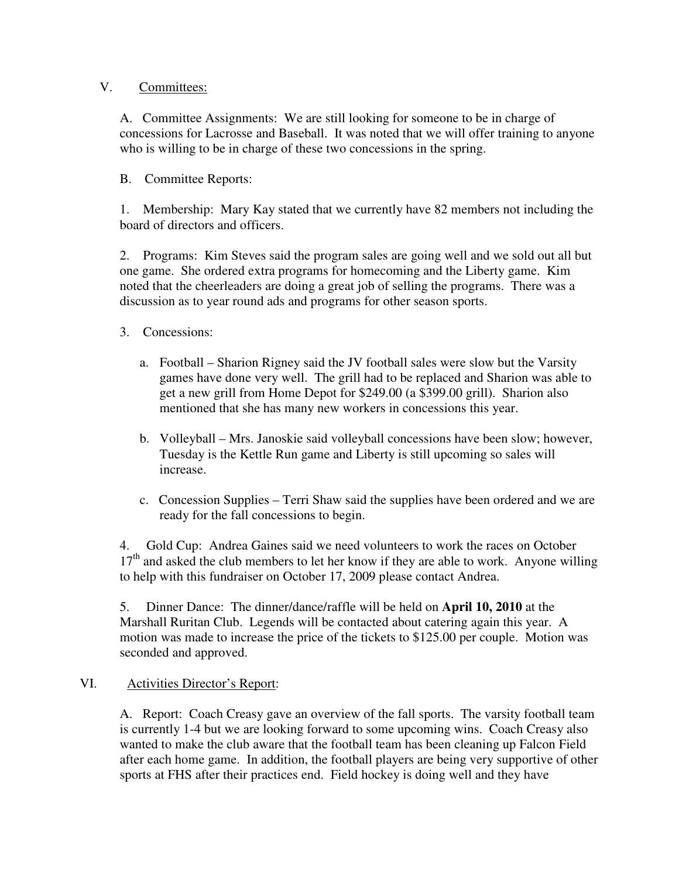#### V. Committees:

A. Committee Assignments: We are still looking for someone to be in charge of concessions for Lacrosse and Baseball. It was noted that we will offer training to anyone who is willing to be in charge of these two concessions in the spring.

## B. Committee Reports:

1. Membership: Mary Kay stated that we currently have 82 members not including the board of directors and officers.

2. Programs: Kim Steves said the program sales are going well and we sold out all but one game. She ordered extra programs for homecoming and the Liberty game. Kim noted that the cheerleaders are doing a great job of selling the programs. There was a discussion as to year round ads and programs for other season sports.

## 3. Concessions:

- a. Football Sharion Rigney said the JV football sales were slow but the Varsity games have done very well. The grill had to be replaced and Sharion was able to get a new grill from Home Depot for \$249.00 (a \$399.00 grill). Sharion also mentioned that she has many new workers in concessions this year.
- b. Volleyball Mrs. Janoskie said volleyball concessions have been slow; however, Tuesday is the Kettle Run game and Liberty is still upcoming so sales will increase.
- c. Concession Supplies Terri Shaw said the supplies have been ordered and we are ready for the fall concessions to begin.

4. Gold Cup: Andrea Gaines said we need volunteers to work the races on October  $17<sup>th</sup>$  and asked the club members to let her know if they are able to work. Anyone willing to help with this fundraiser on October 17, 2009 please contact Andrea.

5. Dinner Dance: The dinner/dance/raffle will be held on **April 10, 2010** at the Marshall Ruritan Club. Legends will be contacted about catering again this year. A motion was made to increase the price of the tickets to \$125.00 per couple. Motion was seconded and approved.

## VI. Activities Director's Report:

A. Report: Coach Creasy gave an overview of the fall sports. The varsity football team is currently 1-4 but we are looking forward to some upcoming wins. Coach Creasy also wanted to make the club aware that the football team has been cleaning up Falcon Field after each home game. In addition, the football players are being very supportive of other sports at FHS after their practices end. Field hockey is doing well and they have